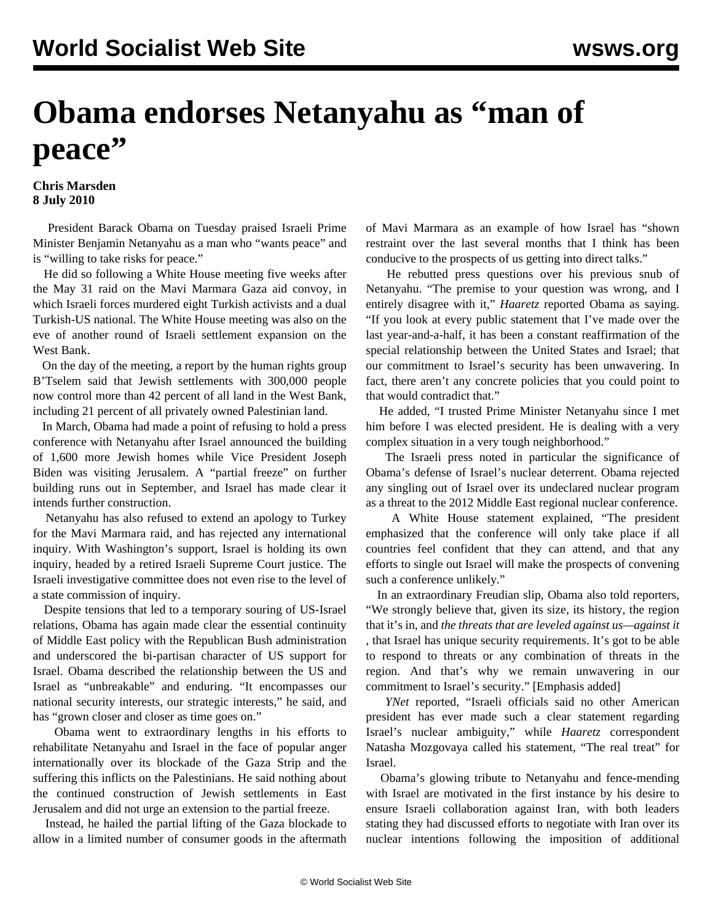## **Obama endorses Netanyahu as "man of peace"**

## **Chris Marsden 8 July 2010**

 President Barack Obama on Tuesday praised Israeli Prime Minister Benjamin Netanyahu as a man who "wants peace" and is "willing to take risks for peace."

 He did so following a White House meeting five weeks after the May 31 raid on the Mavi Marmara Gaza aid convoy, in which Israeli forces murdered eight Turkish activists and a dual Turkish-US national. The White House meeting was also on the eve of another round of Israeli settlement expansion on the West Bank.

 On the day of the meeting, a report by the human rights group B'Tselem said that Jewish settlements with 300,000 people now control more than 42 percent of all land in the West Bank, including 21 percent of all privately owned Palestinian land.

 In March, Obama had made a point of refusing to hold a press conference with Netanyahu after Israel announced the building of 1,600 more Jewish homes while Vice President Joseph Biden was visiting Jerusalem. A "partial freeze" on further building runs out in September, and Israel has made clear it intends further construction.

 Netanyahu has also refused to extend an apology to Turkey for the Mavi Marmara raid, and has rejected any international inquiry. With Washington's support, Israel is holding its own inquiry, headed by a retired Israeli Supreme Court justice. The Israeli investigative committee does not even rise to the level of a state commission of inquiry.

 Despite tensions that led to a temporary souring of US-Israel relations, Obama has again made clear the essential continuity of Middle East policy with the Republican Bush administration and underscored the bi-partisan character of US support for Israel. Obama described the relationship between the US and Israel as "unbreakable" and enduring. "It encompasses our national security interests, our strategic interests," he said, and has "grown closer and closer as time goes on."

 Obama went to extraordinary lengths in his efforts to rehabilitate Netanyahu and Israel in the face of popular anger internationally over its blockade of the Gaza Strip and the suffering this inflicts on the Palestinians. He said nothing about the continued construction of Jewish settlements in East Jerusalem and did not urge an extension to the partial freeze.

 Instead, he hailed the partial lifting of the Gaza blockade to allow in a limited number of consumer goods in the aftermath of Mavi Marmara as an example of how Israel has "shown restraint over the last several months that I think has been conducive to the prospects of us getting into direct talks."

 He rebutted press questions over his previous snub of Netanyahu. "The premise to your question was wrong, and I entirely disagree with it," *Haaretz* reported Obama as saying. "If you look at every public statement that I've made over the last year-and-a-half, it has been a constant reaffirmation of the special relationship between the United States and Israel; that our commitment to Israel's security has been unwavering. In fact, there aren't any concrete policies that you could point to that would contradict that."

 He added, "I trusted Prime Minister Netanyahu since I met him before I was elected president. He is dealing with a very complex situation in a very tough neighborhood."

 The Israeli press noted in particular the significance of Obama's defense of Israel's nuclear deterrent. Obama rejected any singling out of Israel over its undeclared nuclear program as a threat to the 2012 Middle East regional nuclear conference.

 A White House statement explained, "The president emphasized that the conference will only take place if all countries feel confident that they can attend, and that any efforts to single out Israel will make the prospects of convening such a conference unlikely."

 In an extraordinary Freudian slip, Obama also told reporters, "We strongly believe that, given its size, its history, the region that it's in, and *the threats that are leveled against us—against it* , that Israel has unique security requirements. It's got to be able to respond to threats or any combination of threats in the region. And that's why we remain unwavering in our commitment to Israel's security." [Emphasis added]

 *YNet* reported, "Israeli officials said no other American president has ever made such a clear statement regarding Israel's nuclear ambiguity," while *Haaretz* correspondent Natasha Mozgovaya called his statement, "The real treat" for Israel.

 Obama's glowing tribute to Netanyahu and fence-mending with Israel are motivated in the first instance by his desire to ensure Israeli collaboration against Iran, with both leaders stating they had discussed efforts to negotiate with Iran over its nuclear intentions following the imposition of additional